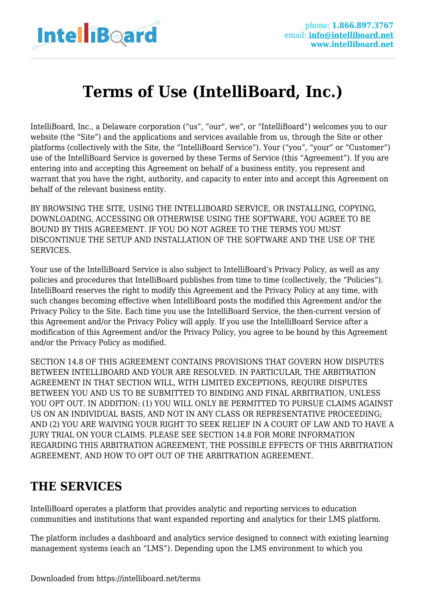

# **Terms of Use (IntelliBoard, Inc.)**

IntelliBoard, Inc., a Delaware corporation ("us", "our", we", or "IntelliBoard") welcomes you to our website (the "Site") and the applications and services available from us, through the Site or other platforms (collectively with the Site, the "IntelliBoard Service"). Your ("you", "your" or "Customer") use of the IntelliBoard Service is governed by these Terms of Service (this "Agreement"). If you are entering into and accepting this Agreement on behalf of a business entity, you represent and warrant that you have the right, authority, and capacity to enter into and accept this Agreement on behalf of the relevant business entity.

BY BROWSING THE SITE, USING THE INTELLIBOARD SERVICE, OR INSTALLING, COPYING, DOWNLOADING, ACCESSING OR OTHERWISE USING THE SOFTWARE, YOU AGREE TO BE BOUND BY THIS AGREEMENT. IF YOU DO NOT AGREE TO THE TERMS YOU MUST DISCONTINUE THE SETUP AND INSTALLATION OF THE SOFTWARE AND THE USE OF THE SERVICES.

Your use of the IntelliBoard Service is also subject to IntelliBoard's Privacy Policy, as well as any policies and procedures that IntelliBoard publishes from time to time (collectively, the "Policies"). IntelliBoard reserves the right to modify this Agreement and the Privacy Policy at any time, with such changes becoming effective when IntelliBoard posts the modified this Agreement and/or the Privacy Policy to the Site. Each time you use the IntelliBoard Service, the then-current version of this Agreement and/or the Privacy Policy will apply. If you use the IntelliBoard Service after a modification of this Agreement and/or the Privacy Policy, you agree to be bound by this Agreement and/or the Privacy Policy as modified.

SECTION 14.8 OF THIS AGREEMENT CONTAINS PROVISIONS THAT GOVERN HOW DISPUTES BETWEEN INTELLIBOARD AND YOUR ARE RESOLVED. IN PARTICULAR, THE ARBITRATION AGREEMENT IN THAT SECTION WILL, WITH LIMITED EXCEPTIONS, REQUIRE DISPUTES BETWEEN YOU AND US TO BE SUBMITTED TO BINDING AND FINAL ARBITRATION, UNLESS YOU OPT OUT. IN ADDITION: (1) YOU WILL ONLY BE PERMITTED TO PURSUE CLAIMS AGAINST US ON AN INDIVIDUAL BASIS, AND NOT IN ANY CLASS OR REPRESENTATIVE PROCEEDING; AND (2) YOU ARE WAIVING YOUR RIGHT TO SEEK RELIEF IN A COURT OF LAW AND TO HAVE A JURY TRIAL ON YOUR CLAIMS. PLEASE SEE SECTION 14.8 FOR MORE INFORMATION REGARDING THIS ARBITRATION AGREEMENT, THE POSSIBLE EFFECTS OF THIS ARBITRATION AGREEMENT, AND HOW TO OPT OUT OF THE ARBITRATION AGREEMENT.

# **THE SERVICES**

IntelliBoard operates a platform that provides analytic and reporting services to education communities and institutions that want expanded reporting and analytics for their LMS platform.

The platform includes a dashboard and analytics service designed to connect with existing learning management systems (each an "LMS"). Depending upon the LMS environment to which you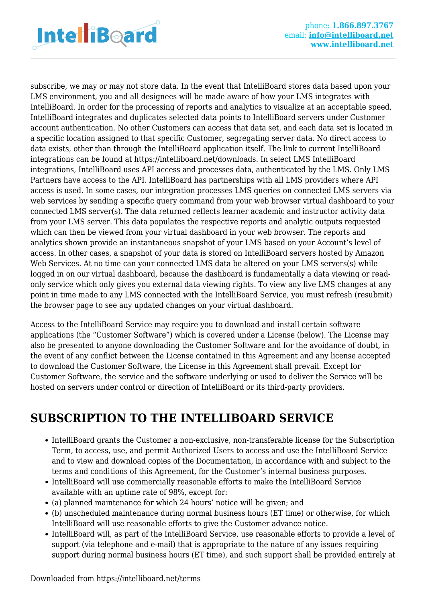

subscribe, we may or may not store data. In the event that IntelliBoard stores data based upon your LMS environment, you and all designees will be made aware of how your LMS integrates with IntelliBoard. In order for the processing of reports and analytics to visualize at an acceptable speed, IntelliBoard integrates and duplicates selected data points to IntelliBoard servers under Customer account authentication. No other Customers can access that data set, and each data set is located in a specific location assigned to that specific Customer, segregating server data. No direct access to data exists, other than through the IntelliBoard application itself. The link to current IntelliBoard integrations can be found at https://intelliboard.net/downloads. In select LMS IntelliBoard integrations, IntelliBoard uses API access and processes data, authenticated by the LMS. Only LMS Partners have access to the API. IntelliBoard has partnerships with all LMS providers where API access is used. In some cases, our integration processes LMS queries on connected LMS servers via web services by sending a specific query command from your web browser virtual dashboard to your connected LMS server(s). The data returned reflects learner academic and instructor activity data from your LMS server. This data populates the respective reports and analytic outputs requested which can then be viewed from your virtual dashboard in your web browser. The reports and analytics shown provide an instantaneous snapshot of your LMS based on your Account's level of access. In other cases, a snapshot of your data is stored on IntelliBoard servers hosted by Amazon Web Services. At no time can your connected LMS data be altered on your LMS servers(s) while logged in on our virtual dashboard, because the dashboard is fundamentally a data viewing or readonly service which only gives you external data viewing rights. To view any live LMS changes at any point in time made to any LMS connected with the IntelliBoard Service, you must refresh (resubmit) the browser page to see any updated changes on your virtual dashboard.

Access to the IntelliBoard Service may require you to download and install certain software applications (the "Customer Software") which is covered under a License (below). The License may also be presented to anyone downloading the Customer Software and for the avoidance of doubt, in the event of any conflict between the License contained in this Agreement and any license accepted to download the Customer Software, the License in this Agreement shall prevail. Except for Customer Software, the service and the software underlying or used to deliver the Service will be hosted on servers under control or direction of IntelliBoard or its third-party providers.

# **SUBSCRIPTION TO THE INTELLIBOARD SERVICE**

- IntelliBoard grants the Customer a non-exclusive, non-transferable license for the Subscription Term, to access, use, and permit Authorized Users to access and use the IntelliBoard Service and to view and download copies of the Documentation, in accordance with and subject to the terms and conditions of this Agreement, for the Customer's internal business purposes.
- IntelliBoard will use commercially reasonable efforts to make the IntelliBoard Service available with an uptime rate of 98%, except for:
- (a) planned maintenance for which 24 hours' notice will be given; and
- (b) unscheduled maintenance during normal business hours (ET time) or otherwise, for which IntelliBoard will use reasonable efforts to give the Customer advance notice.
- IntelliBoard will, as part of the IntelliBoard Service, use reasonable efforts to provide a level of support (via telephone and e-mail) that is appropriate to the nature of any issues requiring support during normal business hours (ET time), and such support shall be provided entirely at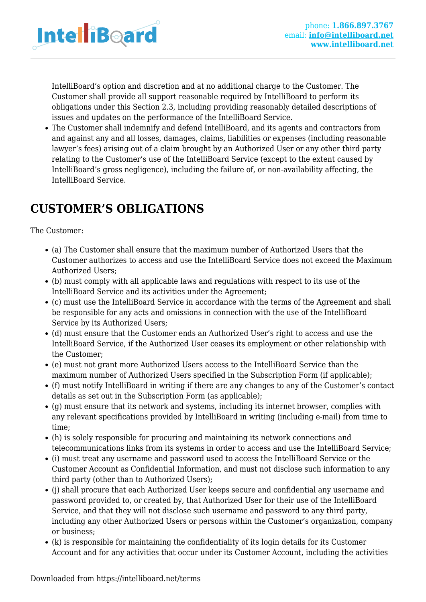

IntelliBoard's option and discretion and at no additional charge to the Customer. The Customer shall provide all support reasonable required by IntelliBoard to perform its obligations under this Section 2.3, including providing reasonably detailed descriptions of issues and updates on the performance of the IntelliBoard Service.

The Customer shall indemnify and defend IntelliBoard, and its agents and contractors from and against any and all losses, damages, claims, liabilities or expenses (including reasonable lawyer's fees) arising out of a claim brought by an Authorized User or any other third party relating to the Customer's use of the IntelliBoard Service (except to the extent caused by IntelliBoard's gross negligence), including the failure of, or non-availability affecting, the IntelliBoard Service.

# **CUSTOMER'S OBLIGATIONS**

The Customer:

- (a) The Customer shall ensure that the maximum number of Authorized Users that the Customer authorizes to access and use the IntelliBoard Service does not exceed the Maximum Authorized Users;
- (b) must comply with all applicable laws and regulations with respect to its use of the IntelliBoard Service and its activities under the Agreement;
- (c) must use the IntelliBoard Service in accordance with the terms of the Agreement and shall be responsible for any acts and omissions in connection with the use of the IntelliBoard Service by its Authorized Users;
- (d) must ensure that the Customer ends an Authorized User's right to access and use the IntelliBoard Service, if the Authorized User ceases its employment or other relationship with the Customer;
- (e) must not grant more Authorized Users access to the IntelliBoard Service than the maximum number of Authorized Users specified in the Subscription Form (if applicable);
- (f) must notify IntelliBoard in writing if there are any changes to any of the Customer's contact details as set out in the Subscription Form (as applicable);
- (g) must ensure that its network and systems, including its internet browser, complies with any relevant specifications provided by IntelliBoard in writing (including e-mail) from time to time;
- (h) is solely responsible for procuring and maintaining its network connections and telecommunications links from its systems in order to access and use the IntelliBoard Service;
- (i) must treat any username and password used to access the IntelliBoard Service or the Customer Account as Confidential Information, and must not disclose such information to any third party (other than to Authorized Users);
- (j) shall procure that each Authorized User keeps secure and confidential any username and password provided to, or created by, that Authorized User for their use of the IntelliBoard Service, and that they will not disclose such username and password to any third party, including any other Authorized Users or persons within the Customer's organization, company or business;
- (k) is responsible for maintaining the confidentiality of its login details for its Customer Account and for any activities that occur under its Customer Account, including the activities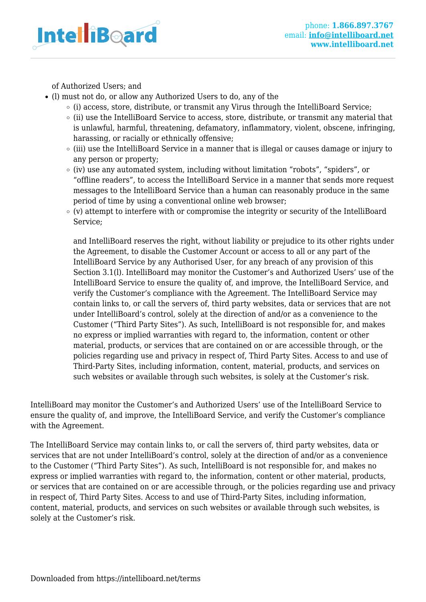

of Authorized Users; and

- (l) must not do, or allow any Authorized Users to do, any of the
	- $\circ$  (i) access, store, distribute, or transmit any Virus through the IntelliBoard Service;
	- (ii) use the IntelliBoard Service to access, store, distribute, or transmit any material that is unlawful, harmful, threatening, defamatory, inflammatory, violent, obscene, infringing, harassing, or racially or ethnically offensive;
	- (iii) use the IntelliBoard Service in a manner that is illegal or causes damage or injury to any person or property;
	- $\circ$  (iv) use any automated system, including without limitation "robots", "spiders", or "offline readers", to access the IntelliBoard Service in a manner that sends more request messages to the IntelliBoard Service than a human can reasonably produce in the same period of time by using a conventional online web browser;
	- $\circ$  (v) attempt to interfere with or compromise the integrity or security of the IntelliBoard Service;

and IntelliBoard reserves the right, without liability or prejudice to its other rights under the Agreement, to disable the Customer Account or access to all or any part of the IntelliBoard Service by any Authorised User, for any breach of any provision of this Section 3.1(l). IntelliBoard may monitor the Customer's and Authorized Users' use of the IntelliBoard Service to ensure the quality of, and improve, the IntelliBoard Service, and verify the Customer's compliance with the Agreement. The IntelliBoard Service may contain links to, or call the servers of, third party websites, data or services that are not under IntelliBoard's control, solely at the direction of and/or as a convenience to the Customer ("Third Party Sites"). As such, IntelliBoard is not responsible for, and makes no express or implied warranties with regard to, the information, content or other material, products, or services that are contained on or are accessible through, or the policies regarding use and privacy in respect of, Third Party Sites. Access to and use of Third-Party Sites, including information, content, material, products, and services on such websites or available through such websites, is solely at the Customer's risk.

IntelliBoard may monitor the Customer's and Authorized Users' use of the IntelliBoard Service to ensure the quality of, and improve, the IntelliBoard Service, and verify the Customer's compliance with the Agreement.

The IntelliBoard Service may contain links to, or call the servers of, third party websites, data or services that are not under IntelliBoard's control, solely at the direction of and/or as a convenience to the Customer ("Third Party Sites"). As such, IntelliBoard is not responsible for, and makes no express or implied warranties with regard to, the information, content or other material, products, or services that are contained on or are accessible through, or the policies regarding use and privacy in respect of, Third Party Sites. Access to and use of Third-Party Sites, including information, content, material, products, and services on such websites or available through such websites, is solely at the Customer's risk.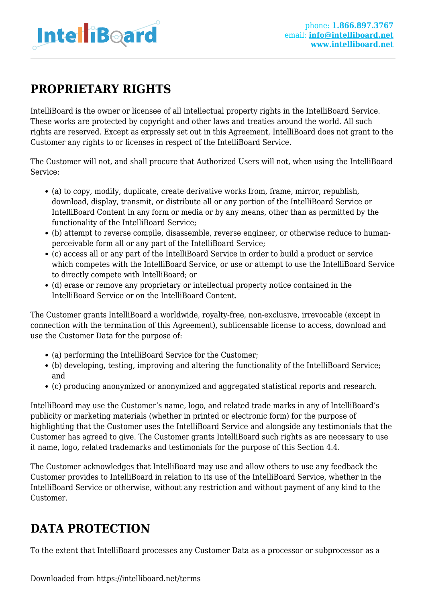

# **PROPRIETARY RIGHTS**

IntelliBoard is the owner or licensee of all intellectual property rights in the IntelliBoard Service. These works are protected by copyright and other laws and treaties around the world. All such rights are reserved. Except as expressly set out in this Agreement, IntelliBoard does not grant to the Customer any rights to or licenses in respect of the IntelliBoard Service.

The Customer will not, and shall procure that Authorized Users will not, when using the IntelliBoard Service:

- (a) to copy, modify, duplicate, create derivative works from, frame, mirror, republish, download, display, transmit, or distribute all or any portion of the IntelliBoard Service or IntelliBoard Content in any form or media or by any means, other than as permitted by the functionality of the IntelliBoard Service;
- (b) attempt to reverse compile, disassemble, reverse engineer, or otherwise reduce to humanperceivable form all or any part of the IntelliBoard Service;
- (c) access all or any part of the IntelliBoard Service in order to build a product or service which competes with the IntelliBoard Service, or use or attempt to use the IntelliBoard Service to directly compete with IntelliBoard; or
- (d) erase or remove any proprietary or intellectual property notice contained in the IntelliBoard Service or on the IntelliBoard Content.

The Customer grants IntelliBoard a worldwide, royalty-free, non-exclusive, irrevocable (except in connection with the termination of this Agreement), sublicensable license to access, download and use the Customer Data for the purpose of:

- (a) performing the IntelliBoard Service for the Customer;
- (b) developing, testing, improving and altering the functionality of the IntelliBoard Service; and
- (c) producing anonymized or anonymized and aggregated statistical reports and research.

IntelliBoard may use the Customer's name, logo, and related trade marks in any of IntelliBoard's publicity or marketing materials (whether in printed or electronic form) for the purpose of highlighting that the Customer uses the IntelliBoard Service and alongside any testimonials that the Customer has agreed to give. The Customer grants IntelliBoard such rights as are necessary to use it name, logo, related trademarks and testimonials for the purpose of this Section 4.4.

The Customer acknowledges that IntelliBoard may use and allow others to use any feedback the Customer provides to IntelliBoard in relation to its use of the IntelliBoard Service, whether in the IntelliBoard Service or otherwise, without any restriction and without payment of any kind to the Customer.

# **DATA PROTECTION**

To the extent that IntelliBoard processes any Customer Data as a processor or subprocessor as a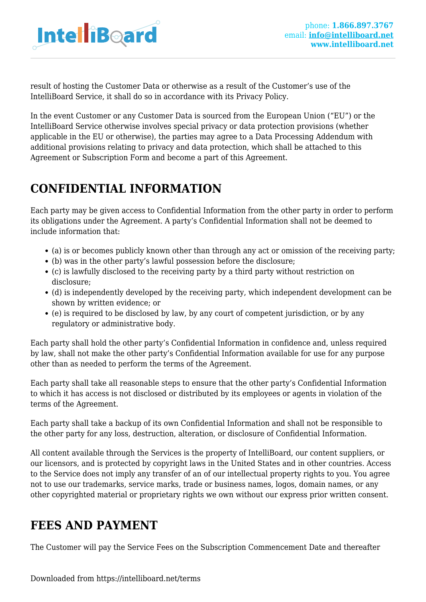

result of hosting the Customer Data or otherwise as a result of the Customer's use of the IntelliBoard Service, it shall do so in accordance with its Privacy Policy.

In the event Customer or any Customer Data is sourced from the European Union ("EU") or the IntelliBoard Service otherwise involves special privacy or data protection provisions (whether applicable in the EU or otherwise), the parties may agree to a Data Processing Addendum with additional provisions relating to privacy and data protection, which shall be attached to this Agreement or Subscription Form and become a part of this Agreement.

# **CONFIDENTIAL INFORMATION**

Each party may be given access to Confidential Information from the other party in order to perform its obligations under the Agreement. A party's Confidential Information shall not be deemed to include information that:

- (a) is or becomes publicly known other than through any act or omission of the receiving party;
- (b) was in the other party's lawful possession before the disclosure;
- (c) is lawfully disclosed to the receiving party by a third party without restriction on disclosure;
- (d) is independently developed by the receiving party, which independent development can be shown by written evidence; or
- (e) is required to be disclosed by law, by any court of competent jurisdiction, or by any regulatory or administrative body.

Each party shall hold the other party's Confidential Information in confidence and, unless required by law, shall not make the other party's Confidential Information available for use for any purpose other than as needed to perform the terms of the Agreement.

Each party shall take all reasonable steps to ensure that the other party's Confidential Information to which it has access is not disclosed or distributed by its employees or agents in violation of the terms of the Agreement.

Each party shall take a backup of its own Confidential Information and shall not be responsible to the other party for any loss, destruction, alteration, or disclosure of Confidential Information.

All content available through the Services is the property of IntelliBoard, our content suppliers, or our licensors, and is protected by copyright laws in the United States and in other countries. Access to the Service does not imply any transfer of an of our intellectual property rights to you. You agree not to use our trademarks, service marks, trade or business names, logos, domain names, or any other copyrighted material or proprietary rights we own without our express prior written consent.

# **FEES AND PAYMENT**

The Customer will pay the Service Fees on the Subscription Commencement Date and thereafter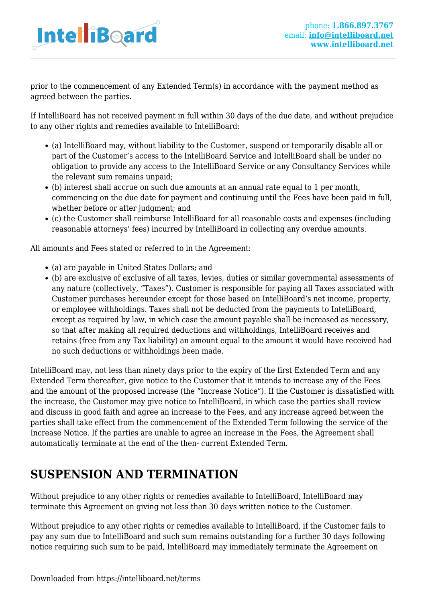

prior to the commencement of any Extended Term(s) in accordance with the payment method as agreed between the parties.

If IntelliBoard has not received payment in full within 30 days of the due date, and without prejudice to any other rights and remedies available to IntelliBoard:

- (a) IntelliBoard may, without liability to the Customer, suspend or temporarily disable all or part of the Customer's access to the IntelliBoard Service and IntelliBoard shall be under no obligation to provide any access to the IntelliBoard Service or any Consultancy Services while the relevant sum remains unpaid;
- (b) interest shall accrue on such due amounts at an annual rate equal to 1 per month, commencing on the due date for payment and continuing until the Fees have been paid in full, whether before or after judgment; and
- (c) the Customer shall reimburse IntelliBoard for all reasonable costs and expenses (including reasonable attorneys' fees) incurred by IntelliBoard in collecting any overdue amounts.

All amounts and Fees stated or referred to in the Agreement:

- (a) are payable in United States Dollars; and
- (b) are exclusive of exclusive of all taxes, levies, duties or similar governmental assessments of any nature (collectively, "Taxes"). Customer is responsible for paying all Taxes associated with Customer purchases hereunder except for those based on IntelliBoard's net income, property, or employee withholdings. Taxes shall not be deducted from the payments to IntelliBoard, except as required by law, in which case the amount payable shall be increased as necessary, so that after making all required deductions and withholdings, IntelliBoard receives and retains (free from any Tax liability) an amount equal to the amount it would have received had no such deductions or withholdings been made.

IntelliBoard may, not less than ninety days prior to the expiry of the first Extended Term and any Extended Term thereafter, give notice to the Customer that it intends to increase any of the Fees and the amount of the proposed increase (the "Increase Notice"). If the Customer is dissatisfied with the increase, the Customer may give notice to IntelliBoard, in which case the parties shall review and discuss in good faith and agree an increase to the Fees, and any increase agreed between the parties shall take effect from the commencement of the Extended Term following the service of the Increase Notice. If the parties are unable to agree an increase in the Fees, the Agreement shall automatically terminate at the end of the then- current Extended Term.

# **SUSPENSION AND TERMINATION**

Without prejudice to any other rights or remedies available to IntelliBoard, IntelliBoard may terminate this Agreement on giving not less than 30 days written notice to the Customer.

Without prejudice to any other rights or remedies available to IntelliBoard, if the Customer fails to pay any sum due to IntelliBoard and such sum remains outstanding for a further 30 days following notice requiring such sum to be paid, IntelliBoard may immediately terminate the Agreement on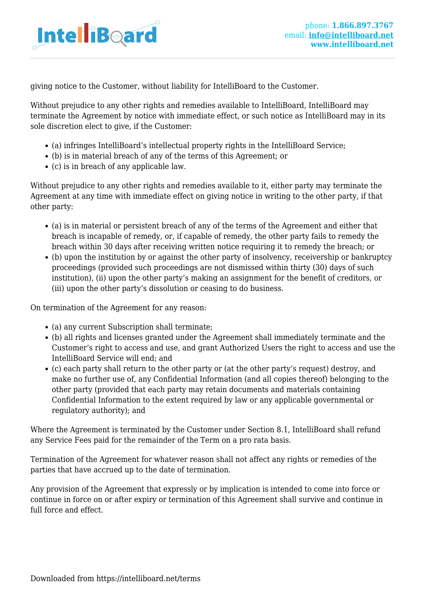

giving notice to the Customer, without liability for IntelliBoard to the Customer.

Without prejudice to any other rights and remedies available to IntelliBoard, IntelliBoard may terminate the Agreement by notice with immediate effect, or such notice as IntelliBoard may in its sole discretion elect to give, if the Customer:

- (a) infringes IntelliBoard's intellectual property rights in the IntelliBoard Service;
- (b) is in material breach of any of the terms of this Agreement; or
- (c) is in breach of any applicable law.

Without prejudice to any other rights and remedies available to it, either party may terminate the Agreement at any time with immediate effect on giving notice in writing to the other party, if that other party:

- (a) is in material or persistent breach of any of the terms of the Agreement and either that breach is incapable of remedy, or, if capable of remedy, the other party fails to remedy the breach within 30 days after receiving written notice requiring it to remedy the breach; or
- (b) upon the institution by or against the other party of insolvency, receivership or bankruptcy proceedings (provided such proceedings are not dismissed within thirty (30) days of such institution), (ii) upon the other party's making an assignment for the benefit of creditors, or (iii) upon the other party's dissolution or ceasing to do business.

On termination of the Agreement for any reason:

- (a) any current Subscription shall terminate;
- (b) all rights and licenses granted under the Agreement shall immediately terminate and the Customer's right to access and use, and grant Authorized Users the right to access and use the IntelliBoard Service will end; and
- (c) each party shall return to the other party or (at the other party's request) destroy, and make no further use of, any Confidential Information (and all copies thereof) belonging to the other party (provided that each party may retain documents and materials containing Confidential Information to the extent required by law or any applicable governmental or regulatory authority); and

Where the Agreement is terminated by the Customer under Section 8.1, IntelliBoard shall refund any Service Fees paid for the remainder of the Term on a pro rata basis.

Termination of the Agreement for whatever reason shall not affect any rights or remedies of the parties that have accrued up to the date of termination.

Any provision of the Agreement that expressly or by implication is intended to come into force or continue in force on or after expiry or termination of this Agreement shall survive and continue in full force and effect.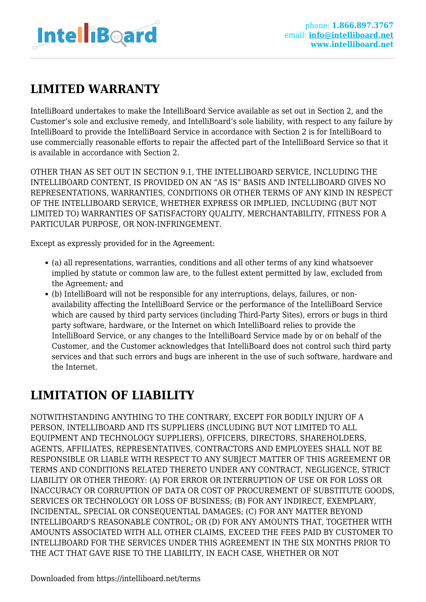

# **LIMITED WARRANTY**

IntelliBoard undertakes to make the IntelliBoard Service available as set out in Section 2, and the Customer's sole and exclusive remedy, and IntelliBoard's sole liability, with respect to any failure by IntelliBoard to provide the IntelliBoard Service in accordance with Section 2 is for IntelliBoard to use commercially reasonable efforts to repair the affected part of the IntelliBoard Service so that it is available in accordance with Section 2.

OTHER THAN AS SET OUT IN SECTION 9.1, THE INTELLIBOARD SERVICE, INCLUDING THE INTELLIBOARD CONTENT, IS PROVIDED ON AN "AS IS" BASIS AND INTELLIBOARD GIVES NO REPRESENTATIONS, WARRANTIES, CONDITIONS OR OTHER TERMS OF ANY KIND IN RESPECT OF THE INTELLIBOARD SERVICE, WHETHER EXPRESS OR IMPLIED, INCLUDING (BUT NOT LIMITED TO) WARRANTIES OF SATISFACTORY QUALITY, MERCHANTABILITY, FITNESS FOR A PARTICULAR PURPOSE, OR NON-INFRINGEMENT.

Except as expressly provided for in the Agreement:

- (a) all representations, warranties, conditions and all other terms of any kind whatsoever implied by statute or common law are, to the fullest extent permitted by law, excluded from the Agreement; and
- (b) IntelliBoard will not be responsible for any interruptions, delays, failures, or nonavailability affecting the IntelliBoard Service or the performance of the IntelliBoard Service which are caused by third party services (including Third-Party Sites), errors or bugs in third party software, hardware, or the Internet on which IntelliBoard relies to provide the IntelliBoard Service, or any changes to the IntelliBoard Service made by or on behalf of the Customer, and the Customer acknowledges that IntelliBoard does not control such third party services and that such errors and bugs are inherent in the use of such software, hardware and the Internet.

### **LIMITATION OF LIABILITY**

NOTWITHSTANDING ANYTHING TO THE CONTRARY, EXCEPT FOR BODILY INJURY OF A PERSON, INTELLIBOARD AND ITS SUPPLIERS (INCLUDING BUT NOT LIMITED TO ALL EQUIPMENT AND TECHNOLOGY SUPPLIERS), OFFICERS, DIRECTORS, SHAREHOLDERS, AGENTS, AFFILIATES, REPRESENTATIVES, CONTRACTORS AND EMPLOYEES SHALL NOT BE RESPONSIBLE OR LIABLE WITH RESPECT TO ANY SUBJECT MATTER OF THIS AGREEMENT OR TERMS AND CONDITIONS RELATED THERETO UNDER ANY CONTRACT, NEGLIGENCE, STRICT LIABILITY OR OTHER THEORY: (A) FOR ERROR OR INTERRUPTION OF USE OR FOR LOSS OR INACCURACY OR CORRUPTION OF DATA OR COST OF PROCUREMENT OF SUBSTITUTE GOODS, SERVICES OR TECHNOLOGY OR LOSS OF BUSINESS; (B) FOR ANY INDIRECT, EXEMPLARY, INCIDENTAL, SPECIAL OR CONSEQUENTIAL DAMAGES; (C) FOR ANY MATTER BEYOND INTELLIBOARD'S REASONABLE CONTROL; OR (D) FOR ANY AMOUNTS THAT, TOGETHER WITH AMOUNTS ASSOCIATED WITH ALL OTHER CLAIMS, EXCEED THE FEES PAID BY CUSTOMER TO INTELLIBOARD FOR THE SERVICES UNDER THIS AGREEMENT IN THE SIX MONTHS PRIOR TO THE ACT THAT GAVE RISE TO THE LIABILITY, IN EACH CASE, WHETHER OR NOT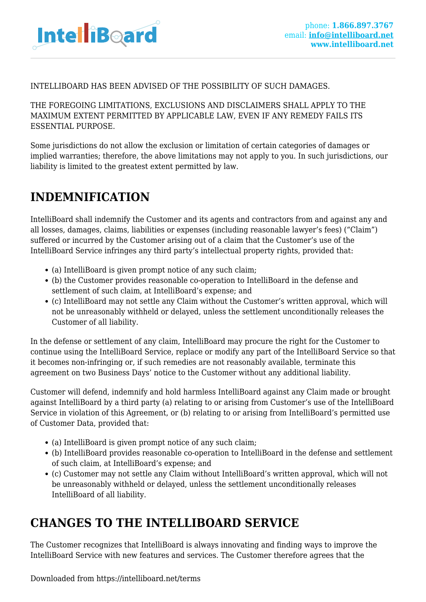

#### INTELLIBOARD HAS BEEN ADVISED OF THE POSSIBILITY OF SUCH DAMAGES.

THE FOREGOING LIMITATIONS, EXCLUSIONS AND DISCLAIMERS SHALL APPLY TO THE MAXIMUM EXTENT PERMITTED BY APPLICABLE LAW, EVEN IF ANY REMEDY FAILS ITS ESSENTIAL PURPOSE.

Some jurisdictions do not allow the exclusion or limitation of certain categories of damages or implied warranties; therefore, the above limitations may not apply to you. In such jurisdictions, our liability is limited to the greatest extent permitted by law.

### **INDEMNIFICATION**

IntelliBoard shall indemnify the Customer and its agents and contractors from and against any and all losses, damages, claims, liabilities or expenses (including reasonable lawyer's fees) ("Claim") suffered or incurred by the Customer arising out of a claim that the Customer's use of the IntelliBoard Service infringes any third party's intellectual property rights, provided that:

- (a) IntelliBoard is given prompt notice of any such claim;
- (b) the Customer provides reasonable co-operation to IntelliBoard in the defense and settlement of such claim, at IntelliBoard's expense; and
- (c) IntelliBoard may not settle any Claim without the Customer's written approval, which will not be unreasonably withheld or delayed, unless the settlement unconditionally releases the Customer of all liability.

In the defense or settlement of any claim, IntelliBoard may procure the right for the Customer to continue using the IntelliBoard Service, replace or modify any part of the IntelliBoard Service so that it becomes non-infringing or, if such remedies are not reasonably available, terminate this agreement on two Business Days' notice to the Customer without any additional liability.

Customer will defend, indemnify and hold harmless IntelliBoard against any Claim made or brought against IntelliBoard by a third party (a) relating to or arising from Customer's use of the IntelliBoard Service in violation of this Agreement, or (b) relating to or arising from IntelliBoard's permitted use of Customer Data, provided that:

- (a) IntelliBoard is given prompt notice of any such claim:
- (b) IntelliBoard provides reasonable co-operation to IntelliBoard in the defense and settlement of such claim, at IntelliBoard's expense; and
- (c) Customer may not settle any Claim without IntelliBoard's written approval, which will not be unreasonably withheld or delayed, unless the settlement unconditionally releases IntelliBoard of all liability.

# **CHANGES TO THE INTELLIBOARD SERVICE**

The Customer recognizes that IntelliBoard is always innovating and finding ways to improve the IntelliBoard Service with new features and services. The Customer therefore agrees that the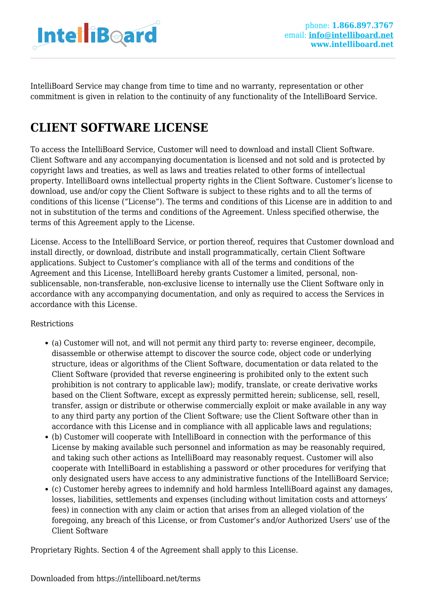

IntelliBoard Service may change from time to time and no warranty, representation or other commitment is given in relation to the continuity of any functionality of the IntelliBoard Service.

# **CLIENT SOFTWARE LICENSE**

To access the IntelliBoard Service, Customer will need to download and install Client Software. Client Software and any accompanying documentation is licensed and not sold and is protected by copyright laws and treaties, as well as laws and treaties related to other forms of intellectual property. IntelliBoard owns intellectual property rights in the Client Software. Customer's license to download, use and/or copy the Client Software is subject to these rights and to all the terms of conditions of this license ("License"). The terms and conditions of this License are in addition to and not in substitution of the terms and conditions of the Agreement. Unless specified otherwise, the terms of this Agreement apply to the License.

License. Access to the IntelliBoard Service, or portion thereof, requires that Customer download and install directly, or download, distribute and install programmatically, certain Client Software applications. Subject to Customer's compliance with all of the terms and conditions of the Agreement and this License, IntelliBoard hereby grants Customer a limited, personal, nonsublicensable, non-transferable, non-exclusive license to internally use the Client Software only in accordance with any accompanying documentation, and only as required to access the Services in accordance with this License.

#### Restrictions

- (a) Customer will not, and will not permit any third party to: reverse engineer, decompile, disassemble or otherwise attempt to discover the source code, object code or underlying structure, ideas or algorithms of the Client Software, documentation or data related to the Client Software (provided that reverse engineering is prohibited only to the extent such prohibition is not contrary to applicable law); modify, translate, or create derivative works based on the Client Software, except as expressly permitted herein; sublicense, sell, resell, transfer, assign or distribute or otherwise commercially exploit or make available in any way to any third party any portion of the Client Software; use the Client Software other than in accordance with this License and in compliance with all applicable laws and regulations;
- (b) Customer will cooperate with IntelliBoard in connection with the performance of this License by making available such personnel and information as may be reasonably required, and taking such other actions as IntelliBoard may reasonably request. Customer will also cooperate with IntelliBoard in establishing a password or other procedures for verifying that only designated users have access to any administrative functions of the IntelliBoard Service;
- (c) Customer hereby agrees to indemnify and hold harmless IntelliBoard against any damages, losses, liabilities, settlements and expenses (including without limitation costs and attorneys' fees) in connection with any claim or action that arises from an alleged violation of the foregoing, any breach of this License, or from Customer's and/or Authorized Users' use of the Client Software

Proprietary Rights. Section 4 of the Agreement shall apply to this License.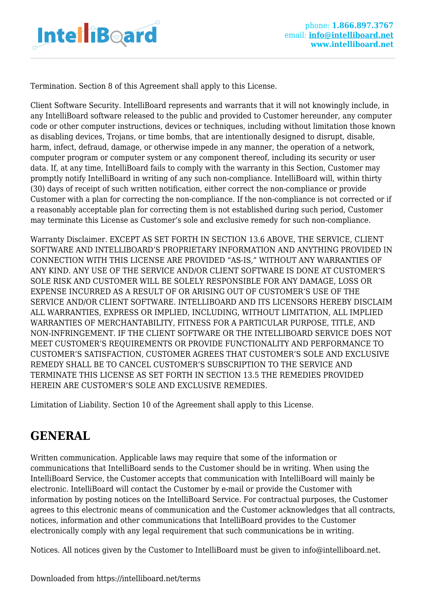

Termination. Section 8 of this Agreement shall apply to this License.

Client Software Security. IntelliBoard represents and warrants that it will not knowingly include, in any IntelliBoard software released to the public and provided to Customer hereunder, any computer code or other computer instructions, devices or techniques, including without limitation those known as disabling devices, Trojans, or time bombs, that are intentionally designed to disrupt, disable, harm, infect, defraud, damage, or otherwise impede in any manner, the operation of a network, computer program or computer system or any component thereof, including its security or user data. If, at any time, IntelliBoard fails to comply with the warranty in this Section, Customer may promptly notify IntelliBoard in writing of any such non-compliance. IntelliBoard will, within thirty (30) days of receipt of such written notification, either correct the non-compliance or provide Customer with a plan for correcting the non-compliance. If the non-compliance is not corrected or if a reasonably acceptable plan for correcting them is not established during such period, Customer may terminate this License as Customer's sole and exclusive remedy for such non-compliance.

Warranty Disclaimer. EXCEPT AS SET FORTH IN SECTION 13.6 ABOVE, THE SERVICE, CLIENT SOFTWARE AND INTELLIBOARD'S PROPRIETARY INFORMATION AND ANYTHING PROVIDED IN CONNECTION WITH THIS LICENSE ARE PROVIDED "AS-IS," WITHOUT ANY WARRANTIES OF ANY KIND. ANY USE OF THE SERVICE AND/OR CLIENT SOFTWARE IS DONE AT CUSTOMER'S SOLE RISK AND CUSTOMER WILL BE SOLELY RESPONSIBLE FOR ANY DAMAGE, LOSS OR EXPENSE INCURRED AS A RESULT OF OR ARISING OUT OF CUSTOMER'S USE OF THE SERVICE AND/OR CLIENT SOFTWARE. INTELLIBOARD AND ITS LICENSORS HEREBY DISCLAIM ALL WARRANTIES, EXPRESS OR IMPLIED, INCLUDING, WITHOUT LIMITATION, ALL IMPLIED WARRANTIES OF MERCHANTABILITY, FITNESS FOR A PARTICULAR PURPOSE, TITLE, AND NON-INFRINGEMENT. IF THE CLIENT SOFTWARE OR THE INTELLIBOARD SERVICE DOES NOT MEET CUSTOMER'S REQUIREMENTS OR PROVIDE FUNCTIONALITY AND PERFORMANCE TO CUSTOMER'S SATISFACTION, CUSTOMER AGREES THAT CUSTOMER'S SOLE AND EXCLUSIVE REMEDY SHALL BE TO CANCEL CUSTOMER'S SUBSCRIPTION TO THE SERVICE AND TERMINATE THIS LICENSE AS SET FORTH IN SECTION 13.5 THE REMEDIES PROVIDED HEREIN ARE CUSTOMER'S SOLE AND EXCLUSIVE REMEDIES.

Limitation of Liability. Section 10 of the Agreement shall apply to this License.

# **GENERAL**

Written communication. Applicable laws may require that some of the information or communications that IntelliBoard sends to the Customer should be in writing. When using the IntelliBoard Service, the Customer accepts that communication with IntelliBoard will mainly be electronic. IntelliBoard will contact the Customer by e-mail or provide the Customer with information by posting notices on the IntelliBoard Service. For contractual purposes, the Customer agrees to this electronic means of communication and the Customer acknowledges that all contracts, notices, information and other communications that IntelliBoard provides to the Customer electronically comply with any legal requirement that such communications be in writing.

Notices. All notices given by the Customer to IntelliBoard must be given to info@intelliboard.net.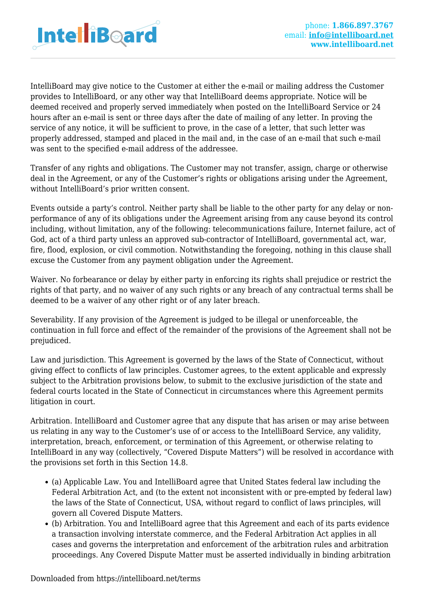

IntelliBoard may give notice to the Customer at either the e-mail or mailing address the Customer provides to IntelliBoard, or any other way that IntelliBoard deems appropriate. Notice will be deemed received and properly served immediately when posted on the IntelliBoard Service or 24 hours after an e-mail is sent or three days after the date of mailing of any letter. In proving the service of any notice, it will be sufficient to prove, in the case of a letter, that such letter was properly addressed, stamped and placed in the mail and, in the case of an e-mail that such e-mail was sent to the specified e-mail address of the addressee.

Transfer of any rights and obligations. The Customer may not transfer, assign, charge or otherwise deal in the Agreement, or any of the Customer's rights or obligations arising under the Agreement, without IntelliBoard's prior written consent.

Events outside a party's control. Neither party shall be liable to the other party for any delay or nonperformance of any of its obligations under the Agreement arising from any cause beyond its control including, without limitation, any of the following: telecommunications failure, Internet failure, act of God, act of a third party unless an approved sub-contractor of IntelliBoard, governmental act, war, fire, flood, explosion, or civil commotion. Notwithstanding the foregoing, nothing in this clause shall excuse the Customer from any payment obligation under the Agreement.

Waiver. No forbearance or delay by either party in enforcing its rights shall prejudice or restrict the rights of that party, and no waiver of any such rights or any breach of any contractual terms shall be deemed to be a waiver of any other right or of any later breach.

Severability. If any provision of the Agreement is judged to be illegal or unenforceable, the continuation in full force and effect of the remainder of the provisions of the Agreement shall not be prejudiced.

Law and jurisdiction. This Agreement is governed by the laws of the State of Connecticut, without giving effect to conflicts of law principles. Customer agrees, to the extent applicable and expressly subject to the Arbitration provisions below, to submit to the exclusive jurisdiction of the state and federal courts located in the State of Connecticut in circumstances where this Agreement permits litigation in court.

Arbitration. IntelliBoard and Customer agree that any dispute that has arisen or may arise between us relating in any way to the Customer's use of or access to the IntelliBoard Service, any validity, interpretation, breach, enforcement, or termination of this Agreement, or otherwise relating to IntelliBoard in any way (collectively, "Covered Dispute Matters") will be resolved in accordance with the provisions set forth in this Section 14.8.

- (a) Applicable Law. You and IntelliBoard agree that United States federal law including the Federal Arbitration Act, and (to the extent not inconsistent with or pre-empted by federal law) the laws of the State of Connecticut, USA, without regard to conflict of laws principles, will govern all Covered Dispute Matters.
- (b) Arbitration. You and IntelliBoard agree that this Agreement and each of its parts evidence a transaction involving interstate commerce, and the Federal Arbitration Act applies in all cases and governs the interpretation and enforcement of the arbitration rules and arbitration proceedings. Any Covered Dispute Matter must be asserted individually in binding arbitration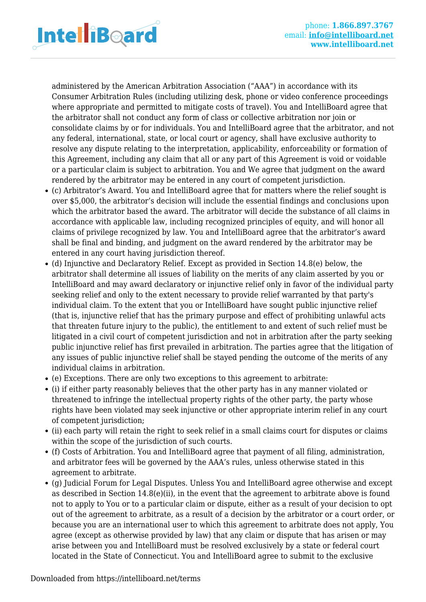

administered by the American Arbitration Association ("AAA") in accordance with its Consumer Arbitration Rules (including utilizing desk, phone or video conference proceedings where appropriate and permitted to mitigate costs of travel). You and IntelliBoard agree that the arbitrator shall not conduct any form of class or collective arbitration nor join or consolidate claims by or for individuals. You and IntelliBoard agree that the arbitrator, and not any federal, international, state, or local court or agency, shall have exclusive authority to resolve any dispute relating to the interpretation, applicability, enforceability or formation of this Agreement, including any claim that all or any part of this Agreement is void or voidable or a particular claim is subject to arbitration. You and We agree that judgment on the award rendered by the arbitrator may be entered in any court of competent jurisdiction.

- (c) Arbitrator's Award. You and IntelliBoard agree that for matters where the relief sought is over \$5,000, the arbitrator's decision will include the essential findings and conclusions upon which the arbitrator based the award. The arbitrator will decide the substance of all claims in accordance with applicable law, including recognized principles of equity, and will honor all claims of privilege recognized by law. You and IntelliBoard agree that the arbitrator's award shall be final and binding, and judgment on the award rendered by the arbitrator may be entered in any court having jurisdiction thereof.
- (d) Injunctive and Declaratory Relief. Except as provided in Section 14.8(e) below, the arbitrator shall determine all issues of liability on the merits of any claim asserted by you or IntelliBoard and may award declaratory or injunctive relief only in favor of the individual party seeking relief and only to the extent necessary to provide relief warranted by that party's individual claim. To the extent that you or IntelliBoard have sought public injunctive relief (that is, injunctive relief that has the primary purpose and effect of prohibiting unlawful acts that threaten future injury to the public), the entitlement to and extent of such relief must be litigated in a civil court of competent jurisdiction and not in arbitration after the party seeking public injunctive relief has first prevailed in arbitration. The parties agree that the litigation of any issues of public injunctive relief shall be stayed pending the outcome of the merits of any individual claims in arbitration.
- (e) Exceptions. There are only two exceptions to this agreement to arbitrate:
- (i) if either party reasonably believes that the other party has in any manner violated or threatened to infringe the intellectual property rights of the other party, the party whose rights have been violated may seek injunctive or other appropriate interim relief in any court of competent jurisdiction;
- (ii) each party will retain the right to seek relief in a small claims court for disputes or claims within the scope of the jurisdiction of such courts.
- (f) Costs of Arbitration. You and IntelliBoard agree that payment of all filing, administration, and arbitrator fees will be governed by the AAA's rules, unless otherwise stated in this agreement to arbitrate.
- (g) Judicial Forum for Legal Disputes. Unless You and IntelliBoard agree otherwise and except as described in Section  $14.8(e)$ (ii), in the event that the agreement to arbitrate above is found not to apply to You or to a particular claim or dispute, either as a result of your decision to opt out of the agreement to arbitrate, as a result of a decision by the arbitrator or a court order, or because you are an international user to which this agreement to arbitrate does not apply, You agree (except as otherwise provided by law) that any claim or dispute that has arisen or may arise between you and IntelliBoard must be resolved exclusively by a state or federal court located in the State of Connecticut. You and IntelliBoard agree to submit to the exclusive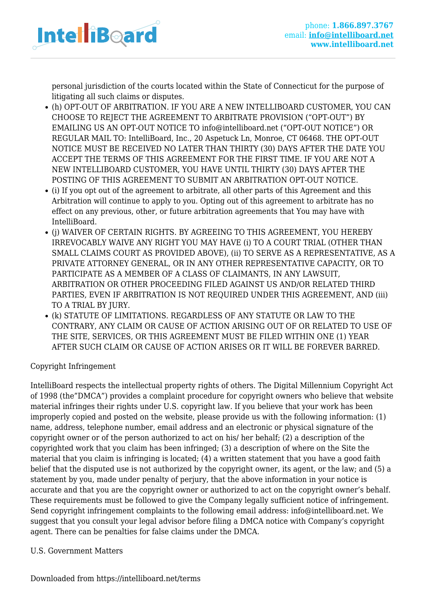

personal jurisdiction of the courts located within the State of Connecticut for the purpose of litigating all such claims or disputes.

- (h) OPT-OUT OF ARBITRATION. IF YOU ARE A NEW INTELLIBOARD CUSTOMER, YOU CAN CHOOSE TO REJECT THE AGREEMENT TO ARBITRATE PROVISION ("OPT-OUT") BY EMAILING US AN OPT-OUT NOTICE TO info@intelliboard.net ("OPT-OUT NOTICE") OR REGULAR MAIL TO: IntelliBoard, Inc., 20 Aspetuck Ln, Monroe, CT 06468. THE OPT-OUT NOTICE MUST BE RECEIVED NO LATER THAN THIRTY (30) DAYS AFTER THE DATE YOU ACCEPT THE TERMS OF THIS AGREEMENT FOR THE FIRST TIME. IF YOU ARE NOT A NEW INTELLIBOARD CUSTOMER, YOU HAVE UNTIL THIRTY (30) DAYS AFTER THE POSTING OF THIS AGREEMENT TO SUBMIT AN ARBITRATION OPT-OUT NOTICE.
- (i) If you opt out of the agreement to arbitrate, all other parts of this Agreement and this Arbitration will continue to apply to you. Opting out of this agreement to arbitrate has no effect on any previous, other, or future arbitration agreements that You may have with IntelliBoard.
- (j) WAIVER OF CERTAIN RIGHTS. BY AGREEING TO THIS AGREEMENT, YOU HEREBY IRREVOCABLY WAIVE ANY RIGHT YOU MAY HAVE (i) TO A COURT TRIAL (OTHER THAN SMALL CLAIMS COURT AS PROVIDED ABOVE), (ii) TO SERVE AS A REPRESENTATIVE, AS A PRIVATE ATTORNEY GENERAL, OR IN ANY OTHER REPRESENTATIVE CAPACITY, OR TO PARTICIPATE AS A MEMBER OF A CLASS OF CLAIMANTS, IN ANY LAWSUIT, ARBITRATION OR OTHER PROCEEDING FILED AGAINST US AND/OR RELATED THIRD PARTIES, EVEN IF ARBITRATION IS NOT REQUIRED UNDER THIS AGREEMENT, AND (iii) TO A TRIAL BY JURY.
- (k) STATUTE OF LIMITATIONS. REGARDLESS OF ANY STATUTE OR LAW TO THE CONTRARY, ANY CLAIM OR CAUSE OF ACTION ARISING OUT OF OR RELATED TO USE OF THE SITE, SERVICES, OR THIS AGREEMENT MUST BE FILED WITHIN ONE (1) YEAR AFTER SUCH CLAIM OR CAUSE OF ACTION ARISES OR IT WILL BE FOREVER BARRED.

Copyright Infringement

IntelliBoard respects the intellectual property rights of others. The Digital Millennium Copyright Act of 1998 (the"DMCA") provides a complaint procedure for copyright owners who believe that website material infringes their rights under U.S. copyright law. If you believe that your work has been improperly copied and posted on the website, please provide us with the following information: (1) name, address, telephone number, email address and an electronic or physical signature of the copyright owner or of the person authorized to act on his/ her behalf; (2) a description of the copyrighted work that you claim has been infringed; (3) a description of where on the Site the material that you claim is infringing is located; (4) a written statement that you have a good faith belief that the disputed use is not authorized by the copyright owner, its agent, or the law; and (5) a statement by you, made under penalty of perjury, that the above information in your notice is accurate and that you are the copyright owner or authorized to act on the copyright owner's behalf. These requirements must be followed to give the Company legally sufficient notice of infringement. Send copyright infringement complaints to the following email address: info@intelliboard.net. We suggest that you consult your legal advisor before filing a DMCA notice with Company's copyright agent. There can be penalties for false claims under the DMCA.

### U.S. Government Matters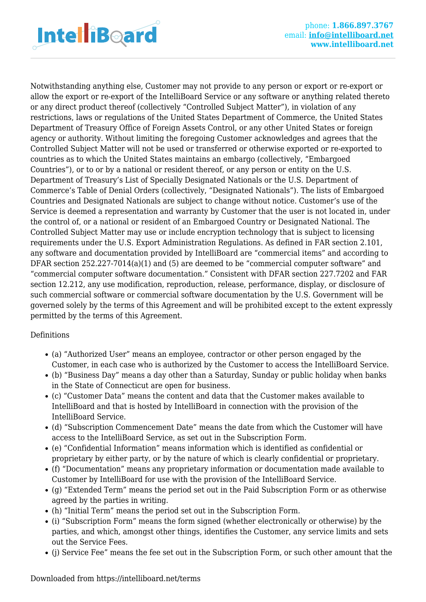

Notwithstanding anything else, Customer may not provide to any person or export or re-export or allow the export or re-export of the IntelliBoard Service or any software or anything related thereto or any direct product thereof (collectively "Controlled Subject Matter"), in violation of any restrictions, laws or regulations of the United States Department of Commerce, the United States Department of Treasury Office of Foreign Assets Control, or any other United States or foreign agency or authority. Without limiting the foregoing Customer acknowledges and agrees that the Controlled Subject Matter will not be used or transferred or otherwise exported or re-exported to countries as to which the United States maintains an embargo (collectively, "Embargoed Countries"), or to or by a national or resident thereof, or any person or entity on the U.S. Department of Treasury's List of Specially Designated Nationals or the U.S. Department of Commerce's Table of Denial Orders (collectively, "Designated Nationals"). The lists of Embargoed Countries and Designated Nationals are subject to change without notice. Customer's use of the Service is deemed a representation and warranty by Customer that the user is not located in, under the control of, or a national or resident of an Embargoed Country or Designated National. The Controlled Subject Matter may use or include encryption technology that is subject to licensing requirements under the U.S. Export Administration Regulations. As defined in FAR section 2.101, any software and documentation provided by IntelliBoard are "commercial items" and according to DFAR section 252.227-7014(a)(1) and (5) are deemed to be "commercial computer software" and "commercial computer software documentation." Consistent with DFAR section 227.7202 and FAR section 12.212, any use modification, reproduction, release, performance, display, or disclosure of such commercial software or commercial software documentation by the U.S. Government will be governed solely by the terms of this Agreement and will be prohibited except to the extent expressly permitted by the terms of this Agreement.

### Definitions

- (a) "Authorized User" means an employee, contractor or other person engaged by the Customer, in each case who is authorized by the Customer to access the IntelliBoard Service.
- (b) "Business Day" means a day other than a Saturday, Sunday or public holiday when banks in the State of Connecticut are open for business.
- (c) "Customer Data" means the content and data that the Customer makes available to IntelliBoard and that is hosted by IntelliBoard in connection with the provision of the IntelliBoard Service.
- (d) "Subscription Commencement Date" means the date from which the Customer will have access to the IntelliBoard Service, as set out in the Subscription Form.
- (e) "Confidential Information" means information which is identified as confidential or proprietary by either party, or by the nature of which is clearly confidential or proprietary.
- (f) "Documentation" means any proprietary information or documentation made available to Customer by IntelliBoard for use with the provision of the IntelliBoard Service.
- (g) "Extended Term" means the period set out in the Paid Subscription Form or as otherwise agreed by the parties in writing.
- (h) "Initial Term" means the period set out in the Subscription Form.
- (i) "Subscription Form" means the form signed (whether electronically or otherwise) by the parties, and which, amongst other things, identifies the Customer, any service limits and sets out the Service Fees.
- (j) Service Fee" means the fee set out in the Subscription Form, or such other amount that the